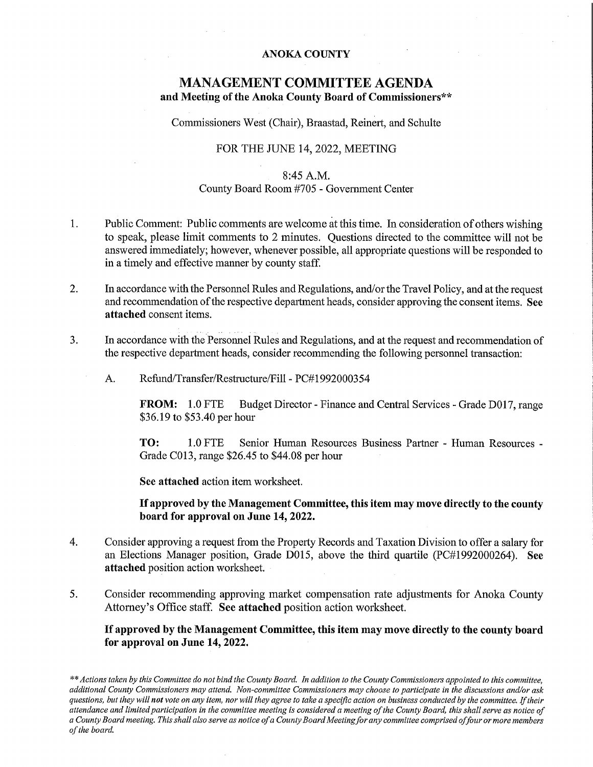#### ANOKA COUNTY

### MANAGEMENT COMMITTEE AGENDA and Meeting of the Anoka County Board of Commissioners\*\*

Commissioners West (Chair), Braastad, Reinert, and Schulte

### FOR THE JUNE 14, 2022, MEETING

### 8:45 A.M. County Board Room #705 - Government Center

- 1. Public Comment: Public comments are welcome at this time. In consideration of others wishing to speak, please limit comments to 2 minutes. Questions directed to the committee will not be answered immediately; however, whenever possible, all appropriate questions will be responded to in a timely and effective manner by county staff.
- 2. In accordance with the Personnel Rules and Regulations, and/or the Travel Policy, and at the request and recommendation of the respective department heads, consider approving the consent items. See attached consent items.
- 3. In accordance with the Personnel Rules and Regulations, and at the request and recommendation of the respective department heads, consider recommending the following personnel transaction:
	- A. Refund/Transfer/Restructure/Fill PC#1992000354

FROM: 1.0 FTE Budget Director - Finance and Central Services - Grade D017, range \$36.19 to \$53.40 per hour

TO: 1.O FTE Senior Human Resources Business Partner Human Resources Grade CO13, range \$26.45 to \$44.08 per hour

See attached action item worksheet.

If approved by the Management Committee, this item may move directly to the county board for approval on June 14, 2022.

- 4. Consider approving a request from the Property Records and Taxation Division to offer a salary for an Elections Manager position, Grade DO15, above the third quartile (PC#1992000264). See attached position action worksheet.
- 5. Consider recommending approving market compensation rate adjustments for Anoka County Attorney's Office staff. See attached position action worksheet.

If approved by the Management Committee, this item may move directly to the county board for approval on June 14, 2022.

\*\* Actions taken by this Committee do not bind the County Board. In addition to the County Commissioners appointed to this committee, additional County Commissioners may attend. Won-committee Commissioners may choose to participate in the discussions and/or ask questions, but they will not vote on any item, nor will they agree to take a specific action on business conducted by the committee. If their attendance and limited participation in the committee meeting is considered a meeting of the County Board, this shall serve as notice of a County Board meeting. This shall also serve as notice of a County Board Meeting for any committee comprised of four or more members of the board.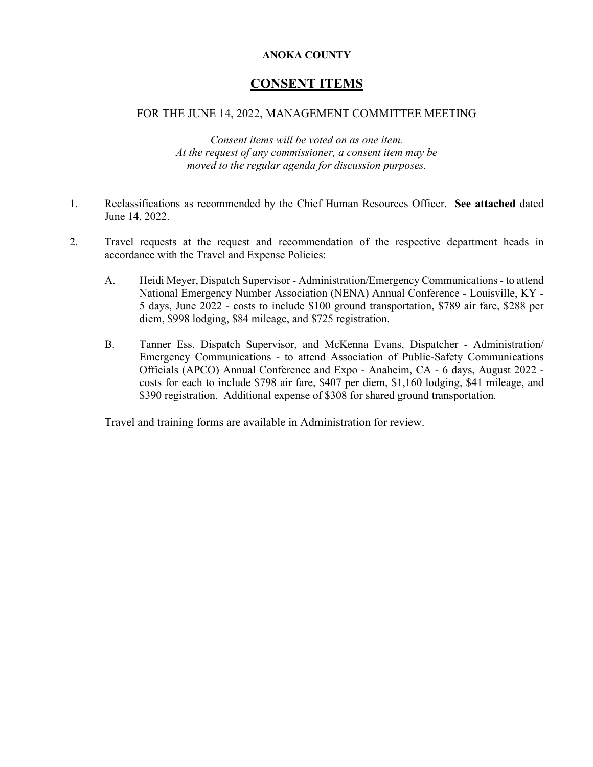### **ANOKA COUNTY**

## **CONSENT ITEMS**

### FOR THE JUNE 14, 2022, MANAGEMENT COMMITTEE MEETING

*Consent items will be voted on as one item. At the request of any commissioner, a consent item may be moved to the regular agenda for discussion purposes.*

- 1. Reclassifications as recommended by the Chief Human Resources Officer. **See attached** dated June 14, 2022.
- 2. Travel requests at the request and recommendation of the respective department heads in accordance with the Travel and Expense Policies:
	- A. Heidi Meyer, Dispatch Supervisor Administration/Emergency Communications- to attend National Emergency Number Association (NENA) Annual Conference - Louisville, KY - 5 days, June 2022 - costs to include \$100 ground transportation, \$789 air fare, \$288 per diem, \$998 lodging, \$84 mileage, and \$725 registration.
	- B. Tanner Ess, Dispatch Supervisor, and McKenna Evans, Dispatcher Administration/ Emergency Communications - to attend Association of Public-Safety Communications Officials (APCO) Annual Conference and Expo - Anaheim, CA - 6 days, August 2022 costs for each to include \$798 air fare, \$407 per diem, \$1,160 lodging, \$41 mileage, and \$390 registration. Additional expense of \$308 for shared ground transportation.

Travel and training forms are available in Administration for review.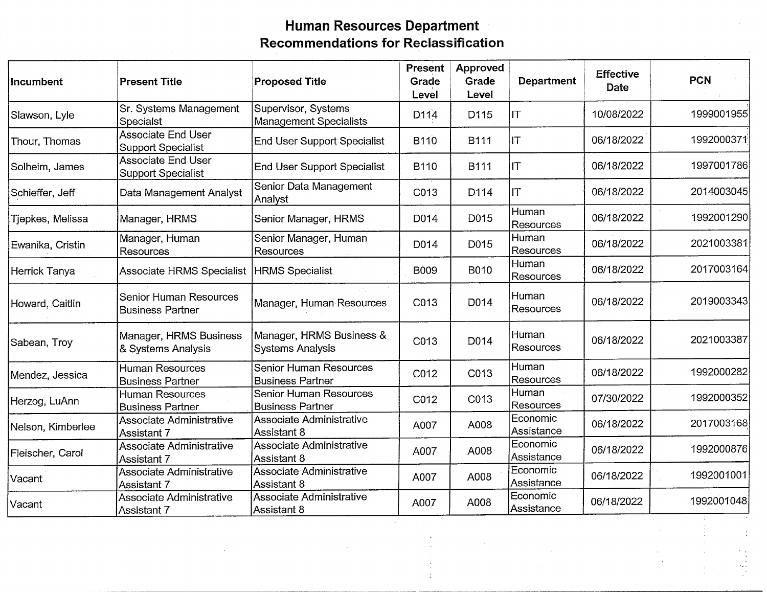## Human Resources Department Recommendations for Reclassification

| Incumbent         | <b>Present Title</b>                                     | <b>Proposed Title</b>                                    | <b>Present</b><br>Grade<br>Level | Approved<br>Grade<br>Level | <b>Department</b>         | <b>Effective</b><br><b>Date</b> | <b>PCN</b> |
|-------------------|----------------------------------------------------------|----------------------------------------------------------|----------------------------------|----------------------------|---------------------------|---------------------------------|------------|
| Slawson, Lyle     | Sr. Systems Management<br>Specialst                      | Supervisor, Systems<br><b>Management Specialists</b>     | D <sub>114</sub>                 | D115                       | IT                        | 10/08/2022                      | 1999001955 |
| Thour, Thomas     | <b>Associate End User</b><br><b>Support Specialist</b>   | <b>End User Support Specialist</b>                       | B110                             | <b>B111</b>                | IΤ                        | 06/18/2022                      | 1992000371 |
| Solheim, James    | <b>Associate End User</b><br><b>Support Specialist</b>   | <b>End User Support Specialist</b>                       | B110                             | <b>B111</b>                | IT                        | 06/18/2022                      | 1997001786 |
| Schieffer, Jeff   | Data Management Analyst                                  | Senior Data Management<br>Analyst                        | C013                             | D114                       | JΤ                        | 06/18/2022                      | 2014003045 |
| Tjepkes, Melissa  | Manager, HRMS                                            | Senior Manager, HRMS                                     | D014                             | D015                       | Human<br>Resources        | 06/18/2022                      | 1992001290 |
| Ewanika, Cristin  | Manager, Human<br><b>Resources</b>                       | Senior Manager, Human<br><b>Resources</b>                | D014                             | D015                       | Human<br><b>Resources</b> | 06/18/2022                      | 2021003381 |
| Herrick Tanya     | <b>Associate HRMS Specialist</b>                         | HRMS Specialist                                          | <b>B009</b>                      | B010                       | Human<br>Resources        | 06/18/2022                      | 2017003164 |
| Howard, Caitlin   | <b>Senior Human Resources</b><br><b>Business Partner</b> | Manager, Human Resources                                 | C013                             | D014                       | Human<br><b>Resources</b> | 06/18/2022                      | 2019003343 |
| Sabean, Troy      | Manager, HRMS Business<br>& Systems Analysis             | Manager, HRMS Business &<br><b>Systems Analysis</b>      | C013                             | D014                       | Human<br>Resources        | 06/18/2022                      | 2021003387 |
| Mendez, Jessica   | <b>Human Resources</b><br><b>Business Partner</b>        | Senior Human Resources<br><b>Business Partner</b>        | C012                             | C013                       | Human<br><b>Resources</b> | 06/18/2022                      | 1992000282 |
| Herzog, LuAnn     | <b>Human Resources</b><br><b>Business Partner</b>        | <b>Senior Human Resources</b><br><b>Business Partner</b> | C012                             | C013                       | Human<br>Resources        | 07/30/2022                      | 1992000352 |
| Nelson, Kimberlee | Associate Administrative<br>Assistant 7                  | Associate Administrative<br>Assistant 8                  | A007                             | A008                       | Economic<br>Assistance    | 06/18/2022                      | 2017003168 |
| Fleischer, Carol  | Associate Administrative<br>Assistant 7                  | Associate Administrative<br>Assistant 8                  | A007                             | A008                       | Economic<br>Assistance    | 06/18/2022                      | 1992000876 |
| Vacant            | Associate Administrative<br>Assistant 7                  | Associate Administrative<br>Assistant 8                  | A007                             | A008                       | Economic<br>Assistance    | 06/18/2022                      | 1992001001 |
| Vacant            | Associate Administrative<br>Assistant 7                  | Associate Administrative<br>Assistant 8                  | A007                             | A008                       | Economic<br>Assistance    | 06/18/2022                      | 1992001048 |

 $\ddot{\phantom{0}}$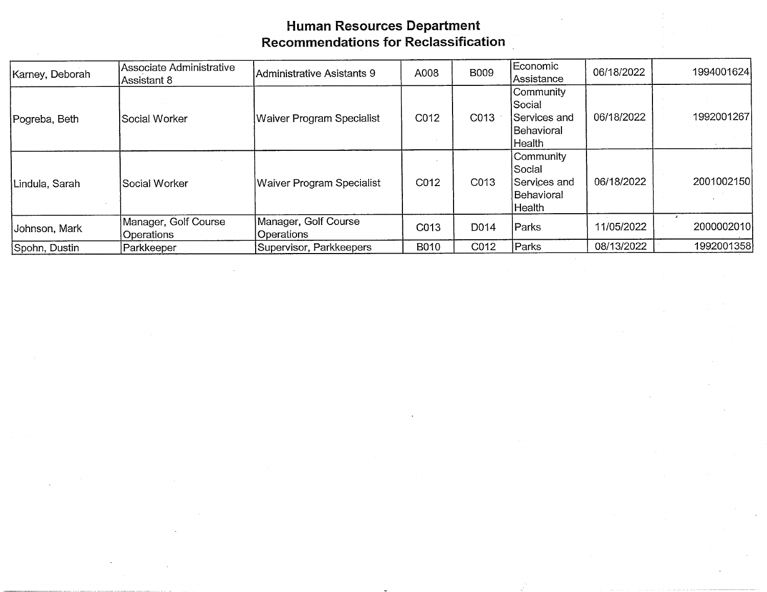## Human Resources Departm Recommendations for Reclassific

| Karney, Deborah | Associate Administrative<br>Assistant 8 | Administrative Asistants 9         | A008 | <b>B009</b> | Economic<br>Assistance                                        | 06/18/2022 | 1994001624 |
|-----------------|-----------------------------------------|------------------------------------|------|-------------|---------------------------------------------------------------|------------|------------|
| Pogreba, Beth   | Social Worker                           | Waiver Program Specialist          | C012 | C013        | Community<br>Social<br>Services and<br>lBehavioral<br>Health  | 06/18/2022 | 1992001267 |
| Lindula, Sarah  | İSocial Worker                          | Waiver Program Specialist          | C012 | C013        | Community<br>Social<br>lServices and<br> Behavioral<br>Health | 06/18/2022 | 2001002150 |
| Johnson, Mark   | Manager, Golf Course<br>Operations      | Manager, Golf Course<br>Operations | C013 | D014        | Parks                                                         | 11/05/2022 | 2000002010 |
| Spohn, Dustin   | <b>Parkkeeper</b>                       | Supervisor, Parkkeepers            | B010 | C012        | Parks                                                         | 08/13/2022 | 1992001358 |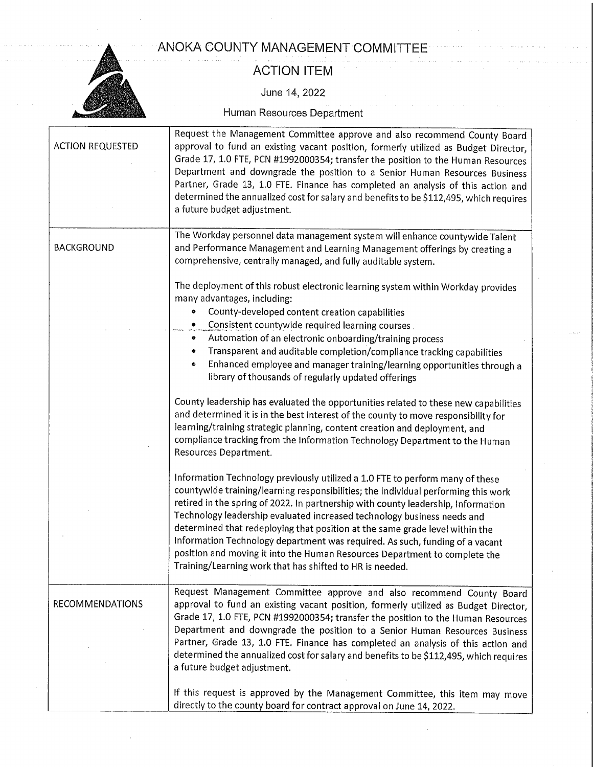ANOKA COUNTY MANAGEMENT COMMITTEE



## ACTION ITEM

June 14, 2022

Human Resources Department

| <b>ACTION REQUESTED</b> | Request the Management Committee approve and also recommend County Board<br>approval to fund an existing vacant position, formerly utilized as Budget Director,<br>Grade 17, 1.0 FTE, PCN #1992000354; transfer the position to the Human Resources<br>Department and downgrade the position to a Senior Human Resources Business<br>Partner, Grade 13, 1.0 FTE. Finance has completed an analysis of this action and<br>determined the annualized cost for salary and benefits to be \$112,495, which requires<br>a future budget adjustment.                                                                                                                                                                                                                                                                                                                                                                                                                                                                                                                                                                                                                                                                                                                                                                                                                                                                                                                                      |
|-------------------------|-------------------------------------------------------------------------------------------------------------------------------------------------------------------------------------------------------------------------------------------------------------------------------------------------------------------------------------------------------------------------------------------------------------------------------------------------------------------------------------------------------------------------------------------------------------------------------------------------------------------------------------------------------------------------------------------------------------------------------------------------------------------------------------------------------------------------------------------------------------------------------------------------------------------------------------------------------------------------------------------------------------------------------------------------------------------------------------------------------------------------------------------------------------------------------------------------------------------------------------------------------------------------------------------------------------------------------------------------------------------------------------------------------------------------------------------------------------------------------------|
| <b>BACKGROUND</b>       | The Workday personnel data management system will enhance countywide Talent<br>and Performance Management and Learning Management offerings by creating a<br>comprehensive, centrally managed, and fully auditable system.                                                                                                                                                                                                                                                                                                                                                                                                                                                                                                                                                                                                                                                                                                                                                                                                                                                                                                                                                                                                                                                                                                                                                                                                                                                          |
|                         | The deployment of this robust electronic learning system within Workday provides<br>many advantages, including:<br>County-developed content creation capabilities<br>۰<br>Consistent countywide required learning courses<br>۰<br>Automation of an electronic onboarding/training process<br>۰<br>Transparent and auditable completion/compliance tracking capabilities<br>۰<br>Enhanced employee and manager training/learning opportunities through a<br>$\bullet$<br>library of thousands of regularly updated offerings<br>County leadership has evaluated the opportunities related to these new capabilities<br>and determined it is in the best interest of the county to move responsibility for<br>learning/training strategic planning, content creation and deployment, and<br>compliance tracking from the Information Technology Department to the Human<br>Resources Department.<br>Information Technology previously utilized a 1.0 FTE to perform many of these<br>countywide training/learning responsibilities; the individual performing this work<br>retired in the spring of 2022. In partnership with county leadership, Information<br>Technology leadership evaluated increased technology business needs and<br>determined that redeploying that position at the same grade level within the<br>Information Technology department was required. As such, funding of a vacant<br>position and moving it into the Human Resources Department to complete the |
|                         | Training/Learning work that has shifted to HR is needed.                                                                                                                                                                                                                                                                                                                                                                                                                                                                                                                                                                                                                                                                                                                                                                                                                                                                                                                                                                                                                                                                                                                                                                                                                                                                                                                                                                                                                            |
| <b>RECOMMENDATIONS</b>  | Request Management Committee approve and also recommend County Board<br>approval to fund an existing vacant position, formerly utilized as Budget Director,<br>Grade 17, 1.0 FTE, PCN #1992000354; transfer the position to the Human Resources<br>Department and downgrade the position to a Senior Human Resources Business<br>Partner, Grade 13, 1.0 FTE. Finance has completed an analysis of this action and<br>determined the annualized cost for salary and benefits to be \$112,495, which requires<br>a future budget adjustment.                                                                                                                                                                                                                                                                                                                                                                                                                                                                                                                                                                                                                                                                                                                                                                                                                                                                                                                                          |
|                         | If this request is approved by the Management Committee, this item may move<br>directly to the county board for contract approval on June 14, 2022.                                                                                                                                                                                                                                                                                                                                                                                                                                                                                                                                                                                                                                                                                                                                                                                                                                                                                                                                                                                                                                                                                                                                                                                                                                                                                                                                 |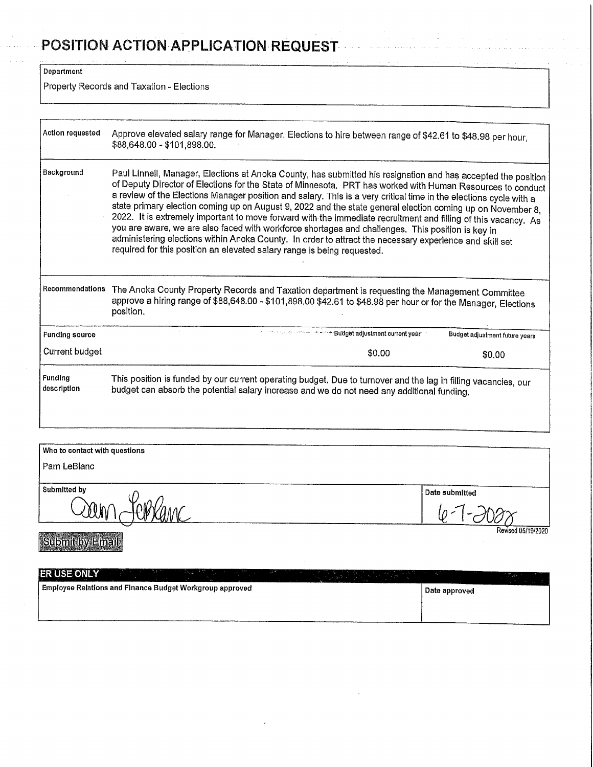# POSITION ACTION APPLICATION REQUEST

Department

Property Records and Taxation - Elections

| Action requested              | Approve elevated salary range for Manager, Elections to hire between range of \$42.61 to \$48.98 per hour,<br>\$88,648.00 - \$101,898.00.                                                                                                                                                                                                                                                                                                                                                                                                                                                                                                                                                                                                                                                                                                                                   |  |  |  |  |
|-------------------------------|-----------------------------------------------------------------------------------------------------------------------------------------------------------------------------------------------------------------------------------------------------------------------------------------------------------------------------------------------------------------------------------------------------------------------------------------------------------------------------------------------------------------------------------------------------------------------------------------------------------------------------------------------------------------------------------------------------------------------------------------------------------------------------------------------------------------------------------------------------------------------------|--|--|--|--|
| Background                    | Paul Linnell, Manager, Elections at Anoka County, has submitted his resignation and has accepted the position<br>of Deputy Director of Elections for the State of Minnesota. PRT has worked with Human Resources to conduct<br>a review of the Elections Manager position and salary. This is a very critical time in the elections cycle with a<br>state primary election coming up on August 9, 2022 and the state general election coming up on November 8,<br>2022. It is extremely important to move forward with the immediate recruitment and filling of this vacancy. As<br>you are aware, we are also faced with workforce shortages and challenges. This position is key in<br>administering elections within Anoka County. In order to attract the necessary experience and skill set<br>required for this position an elevated salary range is being requested. |  |  |  |  |
| Recommendations               | The Anoka County Property Records and Taxation department is requesting the Management Committee<br>approve a hiring range of \$88,648.00 - \$101,898.00 \$42.61 to \$48.98 per hour or for the Manager, Elections<br>position.                                                                                                                                                                                                                                                                                                                                                                                                                                                                                                                                                                                                                                             |  |  |  |  |
| <b>Funding source</b>         | www.communications.pdfdget.adjustment.current.year<br>Budget adjustment future years                                                                                                                                                                                                                                                                                                                                                                                                                                                                                                                                                                                                                                                                                                                                                                                        |  |  |  |  |
| <b>Current budget</b>         | \$0.00<br>\$0.00                                                                                                                                                                                                                                                                                                                                                                                                                                                                                                                                                                                                                                                                                                                                                                                                                                                            |  |  |  |  |
| <b>Funding</b><br>description | This position is funded by our current operating budget. Due to turnover and the lag in filling vacancies, our<br>budget can absorb the potential salary increase and we do not need any additional funding.                                                                                                                                                                                                                                                                                                                                                                                                                                                                                                                                                                                                                                                                |  |  |  |  |
|                               |                                                                                                                                                                                                                                                                                                                                                                                                                                                                                                                                                                                                                                                                                                                                                                                                                                                                             |  |  |  |  |
| Who to contact with questions |                                                                                                                                                                                                                                                                                                                                                                                                                                                                                                                                                                                                                                                                                                                                                                                                                                                                             |  |  |  |  |
| Pam LeBlanc                   |                                                                                                                                                                                                                                                                                                                                                                                                                                                                                                                                                                                                                                                                                                                                                                                                                                                                             |  |  |  |  |
|                               |                                                                                                                                                                                                                                                                                                                                                                                                                                                                                                                                                                                                                                                                                                                                                                                                                                                                             |  |  |  |  |

 $\mathbb{R}^2$ 

Submit by Email

Submitted by<br>
COUN (CP) CAME

<u>(p-1-2008)</u> Revised 05/19/2020

| <b>ERISE ONLY</b><br>Contract Minimum great their<br>in the Start of |               |
|----------------------------------------------------------------------|---------------|
| Employee Relations and Finance Budget Workgroup approved             | Date approved |
|                                                                      |               |
|                                                                      |               |